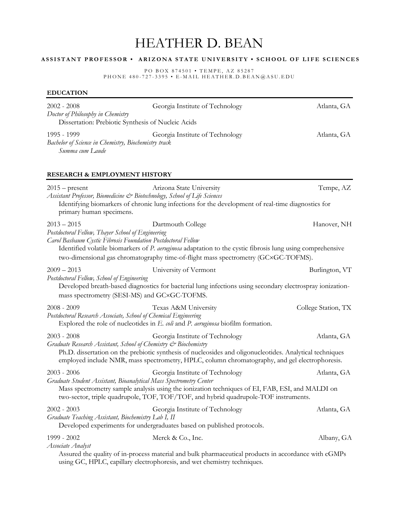# HEATHER D. BEAN

# **A S S I S T A N T P R O F E S S O R • A R I Z O N A S T A T E U N I V E R S I T Y • S C H O O L O F L I F E S C I E N C E S**

PO BOX 874501 • TEMPE, AZ 85287 PHONE 480-727-3395 • E-MAIL HEATHER.D.BEAN@ASU.EDU

#### **EDUCATION**

| $2002 - 2008$<br>Doctor of Philosophy in Chemistry<br>Dissertation: Prebiotic Synthesis of Nucleic Acids                           | Georgia Institute of Technology                                                                                                                                                                                                               | Atlanta, GA         |
|------------------------------------------------------------------------------------------------------------------------------------|-----------------------------------------------------------------------------------------------------------------------------------------------------------------------------------------------------------------------------------------------|---------------------|
| 1995 - 1999<br>Bachelor of Science in Chemistry, Biochemistry track<br>Summa cum Laude                                             | Georgia Institute of Technology                                                                                                                                                                                                               | Atlanta, GA         |
| RESEARCH & EMPLOYMENT HISTORY                                                                                                      |                                                                                                                                                                                                                                               |                     |
| $2015$ – present<br>Assistant Professor, Biomedicine & Biotechnology, School of Life Sciences<br>primary human specimens.          | Arizona State University<br>Identifying biomarkers of chronic lung infections for the development of real-time diagnostics for                                                                                                                | Tempe, AZ           |
| $2013 - 2015$<br>Postdoctoral Fellow, Thayer School of Engineering<br>Carol Basbaum Cystic Fibrosis Foundation Postdoctoral Fellow | Dartmouth College<br>Identified volatile biomarkers of P. aeruginosa adaptation to the cystic fibrosis lung using comprehensive<br>two-dimensional gas chromatography time-of-flight mass spectrometry (GC×GC-TOFMS).                         | Hanover, NH         |
| $2009 - 2013$<br>Postdoctoral Fellow, School of Engineering<br>mass spectrometry (SESI-MS) and GC×GC-TOFMS.                        | University of Vermont<br>Developed breath-based diagnostics for bacterial lung infections using secondary electrospray ionization-                                                                                                            | Burlington, VT      |
| $2008 - 2009$<br>Postdoctoral Research Associate, School of Chemical Engineering                                                   | Texas A&M University<br>Explored the role of nucleotides in E. coli and P. aeruginosa biofilm formation.                                                                                                                                      | College Station, TX |
| $2003 - 2008$<br>Graduate Research Assistant, School of Chemistry & Biochemistry                                                   | Georgia Institute of Technology<br>Ph.D. dissertation on the prebiotic synthesis of nucleosides and oligonucleotides. Analytical techniques<br>employed include NMR, mass spectrometry, HPLC, column chromatography, and gel electrophoresis. | Atlanta, GA         |
| $2003 - 2006$<br>Graduate Student Assistant, Bioanalytical Mass Spectrometry Center                                                | Georgia Institute of Technology<br>Mass spectrometry sample analysis using the ionization techniques of EI, FAB, ESI, and MALDI on<br>two-sector, triple quadrupole, TOF, TOF/TOF, and hybrid quadrupole-TOF instruments.                     | Atlanta, GA         |
| $2002 - 2003$<br>Graduate Teaching Assistant, Biochemistry Lab I, II                                                               | Georgia Institute of Technology<br>Developed experiments for undergraduates based on published protocols.                                                                                                                                     | Atlanta, GA         |
| 1999 - 2002<br>Associate Analyst                                                                                                   | Merck & Co., Inc.<br>Assured the quality of in-process material and bulk pharmaceutical products in accordance with cGMPs<br>using GC, HPLC, capillary electrophoresis, and wet chemistry techniques.                                         | Albany, GA          |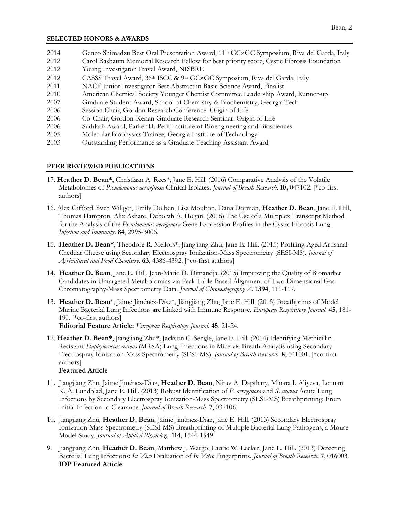#### **SELECTED HONORS & AWARDS**

| 2014 | Genzo Shimadzu Best Oral Presentation Award, 11 <sup>th</sup> GC×GC Symposium, Riva del Garda, Italy |
|------|------------------------------------------------------------------------------------------------------|
| 2012 | Carol Basbaum Memorial Research Fellow for best priority score, Cystic Fibrosis Foundation           |
| 2012 | Young Investigator Travel Award, NISBRE                                                              |
| 2012 | CASSS Travel Award, 36th ISCC & 9th GC×GC Symposium, Riva del Garda, Italy                           |
| 2011 | NACF Junior Investigator Best Abstract in Basic Science Award, Finalist                              |
| 2010 | American Chemical Society Younger Chemist Committee Leadership Award, Runner-up                      |
| 2007 | Graduate Student Award, School of Chemistry & Biochemistry, Georgia Tech                             |
| 2006 | Session Chair, Gordon Research Conference: Origin of Life                                            |
| 2006 | Co-Chair, Gordon-Kenan Graduate Research Seminar: Origin of Life                                     |
| 2006 | Suddath Award, Parker H. Petit Institute of Bioengineering and Biosciences                           |
| 2005 | Molecular Biophysics Trainee, Georgia Institute of Technology                                        |
| 2002 | Outstanding Destormance es e Creducto Tessabing Assistant Aureral                                    |

2003 Outstanding Performance as a Graduate Teaching Assistant Award

# **PEER-REVIEWED PUBLICATIONS**

- 17. **Heather D. Bean\***, Christiaan A. Rees\*, Jane E. Hill. (2016) Comparative Analysis of the Volatile Metabolomes of *Pseudomonas aeruginosa* Clinical Isolates. *Journal of Breath Research*. **10,** 047102. [\*co-first authors]
- 16. Alex Gifford, Sven Willger, Emily Dolben, Lisa Moulton, Dana Dorman, **Heather D. Bean**, Jane E. Hill, Thomas Hampton, Alix Ashare, Deborah A. Hogan. (2016) The Use of a Multiplex Transcript Method for the Analysis of the *Pseudomonas aeruginosa* Gene Expression Profiles in the Cystic Fibrosis Lung. *Infection and Immunity*. **84**, 2995-3006.
- 15. **Heather D. Bean\***, Theodore R. Mellors\*, Jiangjiang Zhu, Jane E. Hill. (2015) Profiling Aged Artisanal Cheddar Cheese using Secondary Electrospray Ionization-Mass Spectrometry (SESI-MS). *Journal of Agricultural and Food Chemistry*. **63**, 4386-4392. [\*co-first authors]
- 14. **Heather D. Bean**, Jane E. Hill, Jean-Marie D. Dimandja. (2015) Improving the Quality of Biomarker Candidates in Untargeted Metabolomics via Peak Table-Based Alignment of Two Dimensional Gas Chromatography-Mass Spectrometry Data. *Journal of Chromatography A.* **1394**, 111-117.
- 13. **Heather D. Bean**\*, Jaime Jiménez-Díaz\*, Jiangjiang Zhu, Jane E. Hill. (2015) Breathprints of Model Murine Bacterial Lung Infections are Linked with Immune Response. *European Respiratory Journal.* **45**, 181- 190. [\*co-first authors] **Editorial Feature Article:** *European Respiratory Journal.* **45**, 21-24.
- 12. **Heather D. Bean\***, Jiangjiang Zhu\*, Jackson C. Sengle, Jane E. Hill. (2014) Identifying Methicillin-Resistant *Staphylococcus aureus* (MRSA) Lung Infections in Mice via Breath Analysis using Secondary Electrospray Ionization-Mass Spectrometry (SESI-MS). *Journal of Breath Research.* **8**, 041001. [\*co-first authors]

# **Featured Article**

- 11. Jiangjiang Zhu, Jaime Jiménez-Díaz, **Heather D. Bean**, Nirav A. Dapthary, Minara I. Aliyeva, Lennart K. A. Lundblad, Jane E. Hill. (2013) Robust Identification of *P. aeruginosa* and *S. aureus* Acute Lung Infections by Secondary Electrospray Ionization-Mass Spectrometry (SESI-MS) Breathprinting: From Initial Infection to Clearance. *Journal of Breath Research.* **7**, 037106.
- 10. Jiangjiang Zhu, **Heather D. Bean**, Jaime Jiménez-Díaz, Jane E. Hill. (2013) Secondary Electrospray Ionization-Mass Spectrometry (SESI-MS) Breathprinting of Multiple Bacterial Lung Pathogens, a Mouse Model Study. *Journal of Applied Physiology.* **114**, 1544-1549.
- 9. Jiangjiang Zhu, **Heather D. Bean**, Matthew J. Wargo, Laurie W. Leclair, Jane E. Hill. (2013) Detecting Bacterial Lung Infections: *In Vivo* Evaluation of *In Vitro* Fingerprints. *Journal of Breath Research*. **7**, 016003. **IOP Featured Article**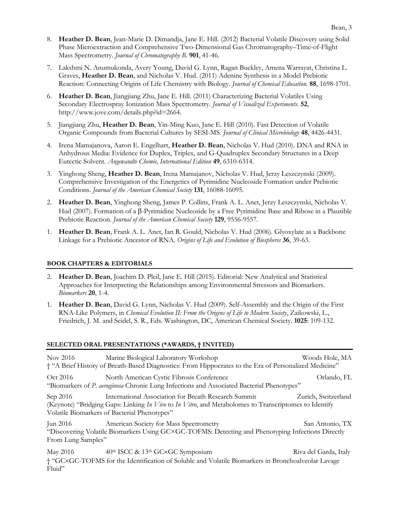- 8. **Heather D. Bean**, Jean-Marie D. Dimandja, Jane E. Hill. (2012) Bacterial Volatile Discovery using Solid Phase Microextraction and Comprehensive Two-Dimensional Gas Chromatography–Time-of-Flight Mass Spectrometry. *Journal of Chromatography B.* **901**, 41-46.
- 7. Lakshmi N. Anumukonda, Avery Young, David G. Lynn, Ragan Buckley, Amena Warrayat, Christina L. Graves, **Heather D. Bean**, and Nicholas V. Hud. (2011) Adenine Synthesis in a Model Prebiotic Reaction: Connecting Origins of Life Chemistry with Biology. *Journal of Chemical Education.* **88**, 1698-1701.
- 6. **Heather D. Bean**, Jiangjiang Zhu, Jane E. Hill. (2011) Characterizing Bacterial Volatiles Using Secondary Electrospray Ionization Mass Spectrometry. *Journal of Visualized Experiments.* **52**, [http://www.jove.com/details.php?id=2664.](http://www.jove.com/details.php?id=2664)
- 5. Jiangjiang Zhu, **Heather D. Bean**, Yin-Ming Kuo, Jane E. Hill (2010). Fast Detection of Volatile Organic Compounds from Bacterial Cultures by SESI-MS. *Journal of Clinical Microbiology* **48**, 4426-4431.
- 4. Irena Mamajanova, Aaron E. Engelhart, **Heather D. Bean**, Nicholas V. Hud (2010). DNA and RNA in Anhydrous Media: Evidence for Duplex, Triplex, and G-Quadruplex Secondary Structures in a Deep Eutectic Solvent. *Angewandte Chemie, International Edition* **49**, 6310-6314.
- 3. Yinghong Sheng, **Heather D. Bean**, Irena Mamajanov, Nicholas V. Hud, Jerzy Leszczynski (2009). Comprehensive Investigation of the Energetics of Pyrimidine Nucleoside Formation under Prebiotic Conditions. *Journal of the American Chemical Society* **131**, 16088-16095.
- 2. **Heather D. Bean**, Yinghong Sheng, James P. Collins, Frank A. L. Anet, Jerzy Leszczynski, Nicholas V. Hud (2007). Formation of a  $\beta$ -Pyrimidine Nucleoside by a Free Pyrimidine Base and Ribose in a Plausible Prebiotic Reaction. *Journal of the American Chemical Society* **129**, 9556-9557*.*
- 1. **Heather D. Bean**, Frank A. L. Anet, Ian R. Gould, Nicholas V. Hud (2006). Glyoxylate as a Backbone Linkage for a Prebiotic Ancestor of RNA. *Origins of Life and Evolution of Biospheres* **36**, 39-63.

# **BOOK CHAPTERS & EDITORIALS**

- 2. **Heather D. Bean**, Joachim D. Pleil, Jane E. Hill (2015). Editorial: New Analytical and Statistical Approaches for Interpreting the Relationships among Environmental Stressors and Biomarkers. *Biomarkers* **20**, 1-4.
- 1. **Heather D. Bean**, David G. Lynn, Nicholas V. Hud (2009). Self-Assembly and the Origin of the First RNA-Like Polymers, in *Chemical Evolution II: From the Origins of Life to Modern Society*, Zaikowski, L., Friedrich, J. M. and Seidel, S. R., Eds. Washington, DC, American Chemical Society. **1025**: 109-132.

# **SELECTED ORAL PRESENTATIONS (\*AWARDS, † INVITED)**

| Nov 2016                       | Marine Biological Laboratory Workshop<br><sup>4</sup> "A Brief History of Breath-Based Diagnostics: From Hippocrates to the Era of Personalized Medicine"                                                    | Woods Hole, MA        |
|--------------------------------|--------------------------------------------------------------------------------------------------------------------------------------------------------------------------------------------------------------|-----------------------|
| Oct 2016                       | North American Cystic Fibrosis Conference<br>"Biomarkers of P. aeruginosa Chronic Lung Infections and Associated Bacterial Phenotypes"                                                                       | Orlando, FL           |
| Sep 2016                       | International Association for Breath Research Summit<br>(Keynote) "Bridging Gaps: Linking In Vivo to In Vitro, and Metabolomes to Transcriptomes to Identify<br>Volatile Biomarkers of Bacterial Phenotypes" | Zurich, Switzerland   |
| Jun 2016<br>From Lung Samples" | American Society for Mass Spectrometry<br>"Discovering Volatile Biomarkers Using GC×GC-TOFMS: Detecting and Phenotyping Infections Directly                                                                  | San Antonio, TX       |
| May 2016<br>Fluid"             | 40th ISCC & 13th GC×GC Symposium<br><sup>+</sup> "GC×GC-TOFMS for the Identification of Soluble and Volatile Biomarkers in Bronchoalveolar Lavage                                                            | Riva del Garda, Italy |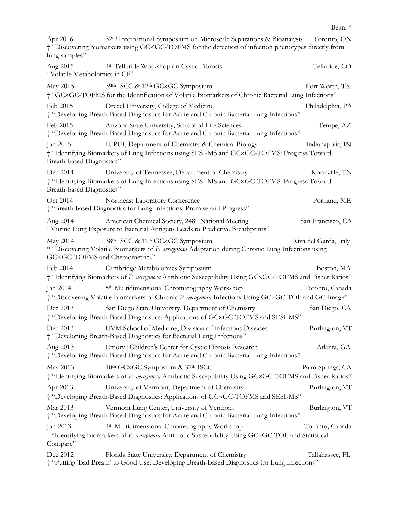| Apr 2016<br>lung samples"                 | 32 <sup>nd</sup> International Symposium on Microscale Separations & Bioanalysis Toronto, ON<br>† "Discovering biomarkers using GC×GC-TOFMS for the detection of infection phenotypes directly from |                       |
|-------------------------------------------|-----------------------------------------------------------------------------------------------------------------------------------------------------------------------------------------------------|-----------------------|
| Aug 2015<br>"Volatile Metabolomics in CF" | 4 <sup>th</sup> Telluride Workshop on Cystic Fibrosis                                                                                                                                               | Telluride, CO         |
| May 2015                                  | 39th ISCC & 12th GC×GC Symposium<br>† "GC×GC-TOFMS for the Identification of Volatile Biomarkers of Chronic Bacterial Lung Infections"                                                              | Fort Worth, TX        |
| Feb 2015                                  | Drexel University, College of Medicine<br>† "Developing Breath-Based Diagnostics for Acute and Chronic Bacterial Lung Infections"                                                                   | Philadelphia, PA      |
| Feb 2015                                  | Arizona State University, School of Life Sciences<br>† "Developing Breath-Based Diagnostics for Acute and Chronic Bacterial Lung Infections"                                                        | Tempe, AZ             |
| Jan 2015<br>Breath-based Diagnostics"     | IUPUI, Department of Chemistry & Chemical Biology<br>† "Identifying Biomarkers of Lung Infections using SESI-MS and GC×GC-TOFMS: Progress Toward                                                    | Indianapolis, IN      |
| Dec 2014<br>Breath-based Diagnostics"     | University of Tennessee, Department of Chemistry<br>† "Identifying Biomarkers of Lung Infections using SESI-MS and GC×GC-TOFMS: Progress Toward                                                     | Knoxville, TN         |
| Oct 2014                                  | Northeast Laboratory Conference<br>† "Breath-based Diagnostics for Lung Infections: Promise and Progress"                                                                                           | Portland, ME          |
| Aug 2014                                  | American Chemical Society, 248th National Meeting<br>"Murine Lung Exposure to Bacterial Antigens Leads to Predictive Breathprints"                                                                  | San Francisco, CA     |
| May 2014<br>GC×GC-TOFMS and Chemometrics" | 38th ISCC & 11th GC×GC Symposium<br>* "Discovering Volatile Biomarkers of P. aeruginosa Adaptation during Chronic Lung Infections using                                                             | Riva del Garda, Italy |
| Feb 2014                                  | Cambridge Metabolomics Symposium<br>† "Identifying Biomarkers of P. aeruginosa Antibiotic Susceptibility Using GC×GC-TOFMS and Fisher Ratios"                                                       | Boston, MA            |
| Jan 2014                                  | 5 <sup>th</sup> Multidimensional Chromatography Workshop<br>† "Discovering Volatile Biomarkers of Chronic P. aeruginosa Infections Using GC×GC-TOF and GC Image"                                    | Toronto, Canada       |
| Dec 2013                                  | San Diego State University, Department of Chemistry<br><sup>+</sup> "Developing Breath-Based Diagnostics: Applications of GC×GC-TOFMS and SESI-MS"                                                  | San Diego, CA         |
| Dec 2013                                  | UVM School of Medicine, Division of Infectious Diseases<br>† "Developing Breath-Based Diagnostics for Bacterial Lung Infections"                                                                    | Burlington, VT        |
| Aug 2013                                  | Emory+Children's Center for Cystic Fibrosis Research<br>† "Developing Breath-Based Diagnostics for Acute and Chronic Bacterial Lung Infections"                                                     | Atlanta, GA           |
| May 2013                                  | 10th GC×GC Symposium & 37th ISCC<br>† "Identifying Biomarkers of P. aeruginosa Antibiotic Susceptibility Using GC×GC-TOFMS and Fisher Ratios"                                                       | Palm Springs, CA      |
| Apr 2013                                  | University of Vermont, Department of Chemistry<br><sup>+</sup> "Developing Breath-Based Diagnostics: Applications of GC×GC-TOFMS and SESI-MS"                                                       | Burlington, VT        |
| Mar 2013                                  | Vermont Lung Center, University of Vermont<br>† "Developing Breath-Based Diagnostics for Acute and Chronic Bacterial Lung Infections"                                                               | Burlington, VT        |
| Jan 2013<br>Compare"                      | 4 <sup>th</sup> Multidimensional Chromatography Workshop<br>† "Identifying Biomarkers of P. aeruginosa Antibiotic Susceptibility Using GC×GC-TOF and Statistical                                    | Toronto, Canada       |
| Dec 2012                                  | Florida State University, Department of Chemistry<br>† "Putting 'Bad Breath' to Good Use: Developing Breath-Based Diagnostics for Lung Infections"                                                  | Tallahassee, FL       |

Bean, 4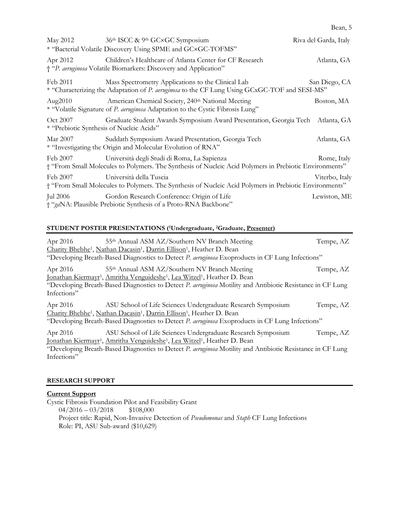| i |  |
|---|--|
|---|--|

| May 2012                                             | 36th ISCC & 9th GC×GC Symposium<br>* "Bacterial Volatile Discovery Using SPME and GC×GC-TOFMS"                                                        | Riva del Garda, Italy |
|------------------------------------------------------|-------------------------------------------------------------------------------------------------------------------------------------------------------|-----------------------|
| Apr 2012                                             | Children's Healthcare of Atlanta Center for CF Research<br>† "P. aeruginosa Volatile Biomarkers: Discovery and Application"                           | Atlanta, GA           |
| Feb 2011                                             | Mass Spectrometry Applications to the Clinical Lab<br>* "Characterizing the Adaptation of P. aeruginosa to the CF Lung Using GCxGC-TOF and SESI-MS"   | San Diego, CA         |
| Aug $2010$                                           | American Chemical Society, 240 <sup>th</sup> National Meeting<br>* "Volatile Signature of P. aeruginosa Adaptation to the Cystic Fibrosis Lung"       | Boston, MA            |
| Oct 2007<br>* "Prebiotic Synthesis of Nucleic Acids" | Graduate Student Awards Symposium Award Presentation, Georgia Tech                                                                                    | Atlanta, GA           |
| Mar 2007                                             | Suddath Symposium Award Presentation, Georgia Tech<br>* "Investigating the Origin and Molecular Evolution of RNA"                                     | Atlanta, GA           |
| Feb 2007                                             | Università degli Studi di Roma, La Sapienza<br>† "From Small Molecules to Polymers. The Synthesis of Nucleic Acid Polymers in Prebiotic Environments" | Rome, Italy           |
| Feb 2007                                             | Università della Tuscia<br>† "From Small Molecules to Polymers. The Synthesis of Nucleic Acid Polymers in Prebiotic Environments"                     | Viterbo, Italy        |
|                                                      | Jul 2006 Gordon Research Conference: Origin of Life<br>† "gaNA: Plausible Prebiotic Synthesis of a Proto-RNA Backbone"                                | Lewiston, ME          |

# **STUDENT POSTER PRESENTATIONS (1Undergraduate, 2Graduate, Presenter)**

| Apr 2016    | 55 <sup>th</sup> Annual ASM AZ/Southern NV Branch Meeting                                                      | Tempe, AZ |
|-------------|----------------------------------------------------------------------------------------------------------------|-----------|
|             | Charity Bhebhe <sup>1</sup> , Nathan Dacasin <sup>1</sup> , Darrin Ellison <sup>1</sup> , Heather D. Bean      |           |
|             | "Developing Breath-Based Diagnostics to Detect P. aeruginosa Exoproducts in CF Lung Infections"                |           |
| Apr 2016    | 55th Annual ASM AZ/Southern NV Branch Meeting                                                                  | Tempe, AZ |
|             | Ionathan Kiermayr <sup>1</sup> , Amritha Venguideshe <sup>1</sup> , Lea Witzel <sup>1</sup> , Heather D. Bean  |           |
|             | "Developing Breath-Based Diagnostics to Detect P. aeruginosa Motility and Antibiotic Resistance in CF Lung     |           |
| Infections" |                                                                                                                |           |
| Apr 2016    | ASU School of Life Sciences Undergraduate Research Symposium                                                   | Tempe, AZ |
|             | Charity Bhebhe <sup>1</sup> , Nathan Dacasin <sup>1</sup> , Darrin Ellison <sup>1</sup> , Heather D. Bean      |           |
|             | "Developing Breath-Based Diagnostics to Detect P. aeruginosa Exoproducts in CF Lung Infections"                |           |
| Apr 2016    | ASU School of Life Sciences Undergraduate Research Symposium                                                   | Tempe, AZ |
|             | <u>Ionathan Kiermayr<sup>1</sup>, Amritha Venguideshe<sup>1</sup>, Lea Witzel<sup>1</sup>, Heather D. Bean</u> |           |
|             | "Developing Breath-Based Diagnostics to Detect P. aeruginosa Motility and Antibiotic Resistance in CF Lung     |           |
| Infections" |                                                                                                                |           |
|             |                                                                                                                |           |

## **RESEARCH SUPPORT**

# **Current Support**

Cystic Fibrosis Foundation Pilot and Feasibility Grant  $04/2016 - 03/2018$ Project title: Rapid, Non-Invasive Detection of *Pseudomonas* and *Staph* CF Lung Infections Role: PI, ASU Sub-award (\$10,629)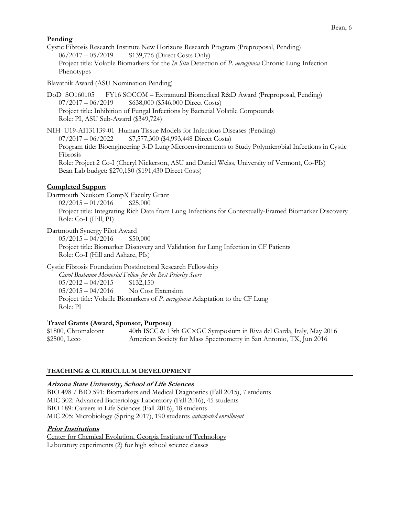#### Bean, 6

# **Pending**

Cystic Fibrosis Research Institute New Horizons Research Program (Preproposal, Pending) 06/2017 – 05/2019 \$139,776 (Direct Costs Only) Project title: Volatile Biomarkers for the *In Situ* Detection of *P. aeruginosa* Chronic Lung Infection Phenotypes

Blavatnik Award (ASU Nomination Pending)

DoD SO160105 FY16 SOCOM – Extramural Biomedical R&D Award (Preproposal, Pending) 07/2017 – 06/2019 \$638,000 (\$546,000 Direct Costs) Project title: Inhibition of Fungal Infections by Bacterial Volatile Compounds Role: PI, ASU Sub-Award (\$349,724)

NIH U19-AI131139-01 Human Tissue Models for Infectious Diseases (Pending) 07/2017 – 06/2022 \$7,577,300 (\$4,993,448 Direct Costs) Program title: Bioengineering 3-D Lung Microenvironments to Study Polymicrobial Infections in Cystic Fibrosis Role: Project 2 Co-I (Cheryl Nickerson, ASU and Daniel Weiss, University of Vermont, Co-PIs) Bean Lab budget: \$270,180 (\$191,430 Direct Costs)

# **Completed Support**

Dartmouth Neukom CompX Faculty Grant

 $02/2015 - 01/2016$  \$25,000 Project title: Integrating Rich Data from Lung Infections for Contextually-Framed Biomarker Discovery Role: Co-I (Hill, PI)

Dartmouth Synergy Pilot Award  $05/2015 - 04/2016$  \$50,000 Project title: Biomarker Discovery and Validation for Lung Infection in CF Patients Role: Co-I (Hill and Ashare, PIs)

Cystic Fibrosis Foundation Postdoctoral Research Fellowship *Carol Basbaum Memorial Fellow for the Best Priority Score*  $05/2012 - 04/2015$  \$132,150  $05/2015 - 04/2016$  No Cost Extension Project title: Volatile Biomarkers of *P. aeruginosa* Adaptation to the CF Lung Role: PI

# **Travel Grants (Award, Sponsor, Purpose)**

\$1800, Chromaleont 40th ISCC & 13th GC×GC Symposium in Riva del Garda, Italy, May 2016 \$2500, Leco American Society for Mass Spectrometry in San Antonio, TX, Jun 2016

# **TEACHING & CURRICULUM DEVELOPMENT**

#### **Arizona State University, School of Life Sciences**

BIO 498 / BIO 591: Biomarkers and Medical Diagnostics (Fall 2015), 7 students MIC 302: Advanced Bacteriology Laboratory (Fall 2016), 45 students BIO 189: Careers in Life Sciences (Fall 2016), 18 students MIC 205: Microbiology (Spring 2017), 190 students *anticipated enrollment*

#### **Prior Institutions**

Center for Chemical Evolution, Georgia Institute of Technology Laboratory experiments (2) for high school science classes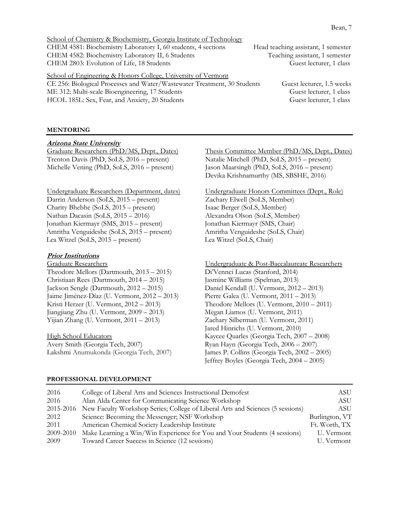School of Chemistry & Biochemistry, Georgia Institute of Technology CHEM 4581: Biochemistry Laboratory I, 60 students, 4 sections Head teaching assistant, 1 semester CHEM 4582: Biochemistry Laboratory II, 6 Students Teaching assistant, 1 semester CHEM 2803: Evolution of Life, 18 Students Guest lecturer, 1 class

School of Engineering & Honors College, University of Vermont CE 256: Biological Processes and Water/Wastewater Treatment, 30 Students Guest lecturer, 1.5 weeks ME 312: Multi-scale Bioengineering, 17 Students Guess and Guess lecturer, 1 class HCOL 185L: Sex, Fear, and Anxiety, 20 Students Guest lecturer, 1 class

#### **MENTORING**

# **Arizona State University**

Graduate Researchers (PhD/MS, Dept., Dates) Trenton Davis (PhD, SoLS, 2016 – present) Michelle Vening (PhD, SoLS, 2016 – present)

Undergraduate Researchers (Department, dates) Darrin Anderson (SoLS, 2015 – present) Charity Bhebhe (SoLS, 2015 – present) Nathan Dacasin (SoLS, 2015 – 2016) Jonathan Kiermayr (SMS, 2015 – present) Amritha Venguideshe (SoLS, 2015 – present) Lea Witzel (SoLS, 2015 – present)

#### **Prior Institutions**

Graduate Researchers Theodore Mellors (Dartmouth, 2013 – 2015) Christiaan Rees (Dartmouth, 2014 – 2015) Jackson Sengle (Dartmouth, 2012 – 2015) Jaime Jiménez-Díaz (U. Vermont, 2012 – 2013) Kristi Herzer (U. Vermont, 2012 – 2013) Jiangjiang Zhu (U. Vermont, 2009 – 2013) Yijian Zhang (U. Vermont, 2011 – 2013)

High School Educators Avery Smith (Georgia Tech, 2007) Lakshmi Anumukonda (Georgia Tech, 2007) Thesis Committee Member (PhD/MS, Dept., Dates) Natalie Mitchell (PhD, SoLS, 2015 – present) Jason Maarsingh (PhD, SoLS, 2016 – present) Devika Krishnamurthy (MS, SBSHE, 2016)

Undergraduate Honors Committees (Dept., Role) Zachary Elwell (SoLS, Member) Isaac Berger (SoLS, Member) Alexandra Olson (SoLS, Member) Jonathan Kiermayr (SMS, Chair) Amritha Venguideshe (SoLS, Chair) Lea Witzel (SoLS, Chair)

Undergraduate & Post-Baccalaureate Researchers Di'Vennci Lucas (Stanford, 2014) Jasmine Williams (Spelman, 2013) Daniel Kendall (U. Vermont, 2012 – 2013) Pierre Galea (U. Vermont, 2011 – 2013) Theodore Mellors (U. Vermont, 2010 – 2011) Megan Liamos (U. Vermont, 2011) Zachary Silberman (U. Vermont, 2011) Jared Hinrichs (U. Vermont, 2010) Kaycee Quarles (Georgia Tech, 2007 – 2008) Ryan Hayn (Georgia Tech, 2006 – 2007) James P. Collins (Georgia Tech, 2002 – 2005) Jeffrey Boyles (Georgia Tech, 2004 – 2005)

#### **PROFESSIONAL DEVELOPMENT**

| 2016      | College of Liberal Arts and Sciences Instructional Demofest                    | ASU            |
|-----------|--------------------------------------------------------------------------------|----------------|
| 2016      | Alan Alda Center for Communicating Science Workshop                            | ASU            |
| 2015-2016 | New Faculty Workshop Series; College of Liberal Arts and Sciences (5 sessions) | ASU            |
| 2012      | Science: Becoming the Messenger; NSF Workshop                                  | Burlington, VT |
| 2011      | American Chemical Society Leadership Institute                                 | Ft. Worth, TX  |
| 2009-2010 | Make Learning a Win/Win Experience for You and Your Students (4 sessions)      | U. Vermont     |
| 2009      | Toward Career Success in Science (12 sessions)                                 | U. Vermont     |